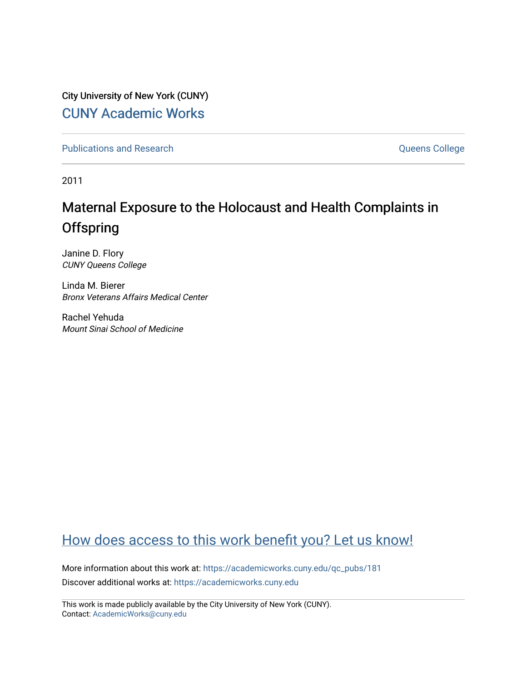City University of New York (CUNY) [CUNY Academic Works](https://academicworks.cuny.edu/) 

[Publications and Research](https://academicworks.cuny.edu/qc_pubs) **College** College and Theorem and Theorem and Theorem and Theorem and Theorem and Theorem and Theorem and Theorem and Theorem and Theorem and Theorem and Theorem and Theorem and Theorem and Theore

2011

## Maternal Exposure to the Holocaust and Health Complaints in **Offspring**

Janine D. Flory CUNY Queens College

Linda M. Bierer Bronx Veterans Affairs Medical Center

Rachel Yehuda Mount Sinai School of Medicine

### [How does access to this work benefit you? Let us know!](http://ols.cuny.edu/academicworks/?ref=https://academicworks.cuny.edu/qc_pubs/181)

More information about this work at: [https://academicworks.cuny.edu/qc\\_pubs/181](https://academicworks.cuny.edu/qc_pubs/181) Discover additional works at: [https://academicworks.cuny.edu](https://academicworks.cuny.edu/?)

This work is made publicly available by the City University of New York (CUNY). Contact: [AcademicWorks@cuny.edu](mailto:AcademicWorks@cuny.edu)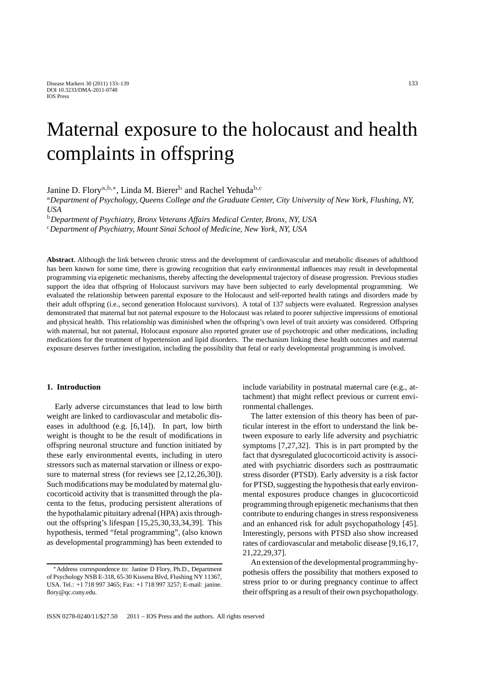# Maternal exposure to the holocaust and health complaints in offspring

Janine D. Flory<sup>a,b,∗</sup>, Linda M. Bierer<sup>b</sup> and Rachel Yehuda<sup>b,c</sup>

<sup>a</sup>*Department of Psychology, Queens College and the Graduate Center, City University of New York, Flushing, NY, USA*

<sup>b</sup>*Department of Psychiatry, Bronx Veterans Affairs Medical Center, Bronx, NY, USA*

<sup>c</sup>*Department of Psychiatry, Mount Sinai School of Medicine, New York, NY, USA*

**Abstract**. Although the link between chronic stress and the development of cardiovascular and metabolic diseases of adulthood has been known for some time, there is growing recognition that early environmental influences may result in developmental programming via epigenetic mechanisms, thereby affecting the developmental trajectory of disease progression. Previous studies support the idea that offspring of Holocaust survivors may have been subjected to early developmental programming. We evaluated the relationship between parental exposure to the Holocaust and self-reported health ratings and disorders made by their adult offspring (i.e., second generation Holocaust survivors). A total of 137 subjects were evaluated. Regression analyses demonstrated that maternal but not paternal exposure to the Holocaust was related to poorer subjective impressions of emotional and physical health. This relationship was diminished when the offspring's own level of trait anxiety was considered. Offspring with maternal, but not paternal, Holocaust exposure also reported greater use of psychotropic and other medications, including medications for the treatment of hypertension and lipid disorders. The mechanism linking these health outcomes and maternal exposure deserves further investigation, including the possibility that fetal or early developmental programming is involved.

#### **1. Introduction**

Early adverse circumstances that lead to low birth weight are linked to cardiovascular and metabolic diseases in adulthood (e.g. [6,14]). In part, low birth weight is thought to be the result of modifications in offspring neuronal structure and function initiated by these early environmental events, including in utero stressors such as maternal starvation or illness or exposure to maternal stress (for reviews see [2,12,26,30]). Such modifications may be modulated by maternal glucocorticoid activity that is transmitted through the placenta to the fetus, producing persistent alterations of the hypothalamic pituitary adrenal (HPA) axis throughout the offspring's lifespan [15,25,30,33,34,39]. This hypothesis, termed "fetal programming", (also known as developmental programming) has been extended to include variability in postnatal maternal care (e.g., attachment) that might reflect previous or current environmental challenges.

The latter extension of this theory has been of particular interest in the effort to understand the link between exposure to early life adversity and psychiatric symptoms [7,27,32]. This is in part prompted by the fact that dysregulated glucocorticoid activity is associated with psychiatric disorders such as posttraumatic stress disorder (PTSD). Early adversity is a risk factor for PTSD, suggesting the hypothesis that early environmental exposures produce changes in glucocorticoid programming through epigenetic mechanisms that then contribute to enduring changes in stress responsiveness and an enhanced risk for adult psychopathology [45]. Interestingly, persons with PTSD also show increased rates of cardiovascular and metabolic disease [9,16,17, 21,22,29,37].

An extension of the developmental programming hypothesis offers the possibility that mothers exposed to stress prior to or during pregnancy continue to affect their offspring as a result of their own psychopathology.

<sup>∗</sup>Address correspondence to: Janine D Flory, Ph.D., Department of Psychology NSB E-318, 65-30 Kissena Blvd, Flushing NY 11367, USA. Tel.: +1 718 997 3465; Fax: +1 718 997 3257; E-mail: janine. flory@qc.cuny.edu.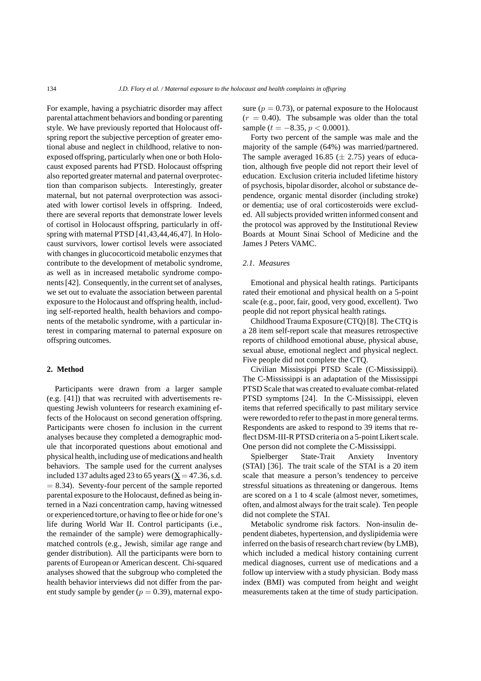For example, having a psychiatric disorder may affect parental attachment behaviors and bonding or parenting style. We have previously reported that Holocaust offspring report the subjective perception of greater emotional abuse and neglect in childhood, relative to nonexposed offspring, particularly when one or both Holocaust exposed parents had PTSD. Holocaust offspring also reported greater maternal and paternal overprotection than comparison subjects. Interestingly, greater maternal, but not paternal overprotection was associated with lower cortisol levels in offspring. Indeed, there are several reports that demonstrate lower levels of cortisol in Holocaust offspring, particularly in offspring with maternal PTSD [41,43,44,46,47]. In Holocaust survivors, lower cortisol levels were associated with changes in glucocorticoid metabolic enzymes that contribute to the development of metabolic syndrome, as well as in increased metabolic syndrome components [42]. Consequently, in the current set of analyses, we set out to evaluate the association between parental exposure to the Holocaust and offspring health, including self-reported health, health behaviors and components of the metabolic syndrome, with a particular interest in comparing maternal to paternal exposure on offspring outcomes.

#### **2. Method**

Participants were drawn from a larger sample (e.g. [41]) that was recruited with advertisements requesting Jewish volunteers for research examining effects of the Holocaust on second generation offspring. Participants were chosen fo inclusion in the current analyses because they completed a demographic module that incorporated questions about emotional and physical health, including use of medications and health behaviors. The sample used for the current analyses included 137 adults aged 23 to 65 years ( $\chi$  = 47.36, s.d.  $= 8.34$ ). Seventy-four percent of the sample reported parental exposure to the Holocaust, defined as being interned in a Nazi concentration camp, having witnessed or experienced torture,or having to flee or hide for one's life during World War II. Control participants (i.e., the remainder of the sample) were demographicallymatched controls (e.g., Jewish, similar age range and gender distribution). All the participants were born to parents of European or American descent. Chi-squared analyses showed that the subgroup who completed the health behavior interviews did not differ from the parent study sample by gender ( $p = 0.39$ ), maternal exposure ( $p = 0.73$ ), or paternal exposure to the Holocaust  $(r = 0.40)$ . The subsample was older than the total sample ( $t = -8.35, p < 0.0001$ ).

Forty two percent of the sample was male and the majority of the sample (64%) was married/partnered. The sample averaged 16.85 ( $\pm$  2.75) years of education, although five people did not report their level of education. Exclusion criteria included lifetime history of psychosis, bipolar disorder, alcohol or substance dependence, organic mental disorder (including stroke) or dementia; use of oral corticosteroids were excluded. All subjects provided written informed consent and the protocol was approved by the Institutional Review Boards at Mount Sinai School of Medicine and the James J Peters VAMC.

#### *2.1. Measures*

Emotional and physical health ratings. Participants rated their emotional and physical health on a 5-point scale (e.g., poor, fair, good, very good, excellent). Two people did not report physical health ratings.

Childhood Trauma Exposure (CTQ) [8]. The CTQ is a 28 item self-report scale that measures retrospective reports of childhood emotional abuse, physical abuse, sexual abuse, emotional neglect and physical neglect. Five people did not complete the CTQ.

Civilian Mississippi PTSD Scale (C-Mississippi). The C-Mississippi is an adaptation of the Mississippi PTSD Scale that was created to evaluate combat-related PTSD symptoms [24]. In the C-Mississippi, eleven items that referred specifically to past military service were reworded to refer to the past in more general terms. Respondents are asked to respond to 39 items that reflect DSM-III-R PTSD criteria on a 5-point Likert scale. One person did not complete the C-Mississippi.

Spielberger State-Trait Anxiety Inventory (STAI) [36]. The trait scale of the STAI is a 20 item scale that measure a person's tendencey to perceive stressful situations as threatening or dangerous. Items are scored on a 1 to 4 scale (almost never, sometimes, often, and almost always for the trait scale). Ten people did not complete the STAI.

Metabolic syndrome risk factors. Non-insulin dependent diabetes, hypertension, and dyslipidemia were inferred on the basis of research chart review (by LMB), which included a medical history containing current medical diagnoses, current use of medications and a follow up interview with a study physician. Body mass index (BMI) was computed from height and weight measurements taken at the time of study participation.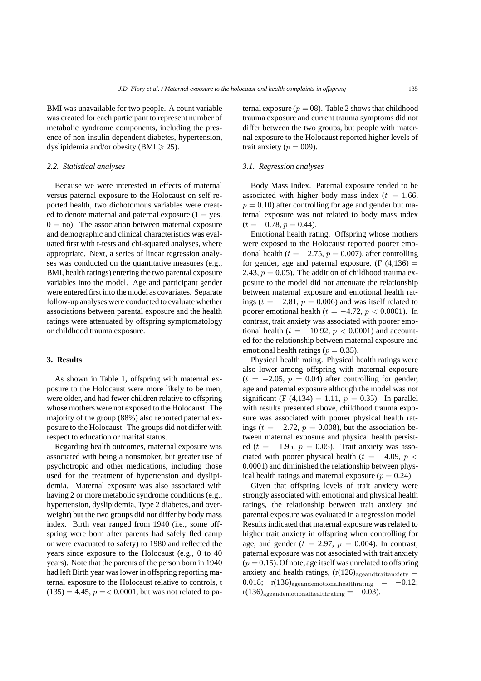BMI was unavailable for two people. A count variable was created for each participant to represent number of metabolic syndrome components, including the presence of non-insulin dependent diabetes, hypertension, dyslipidemia and/or obesity (BMI  $\geq$  25).

#### *2.2. Statistical analyses*

Because we were interested in effects of maternal versus paternal exposure to the Holocaust on self reported health, two dichotomous variables were created to denote maternal and paternal exposure  $(1 = yes,$  $0 =$  no). The association between maternal exposure and demographic and clinical characteristics was evaluated first with t-tests and chi-squared analyses, where appropriate. Next, a series of linear regression analyses was conducted on the quantitative measures (e.g., BMI, health ratings) entering the two parental exposure variables into the model. Age and participant gender were entered first into the model as covariates. Separate follow-up analyses were conducted to evaluate whether associations between parental exposure and the health ratings were attenuated by offspring symptomatology or childhood trauma exposure.

#### **3. Results**

As shown in Table 1, offspring with maternal exposure to the Holocaust were more likely to be men, were older, and had fewer children relative to offspring whose mothers were not exposed to the Holocaust. The majority of the group (88%) also reported paternal exposure to the Holocaust. The groups did not differ with respect to education or marital status.

Regarding health outcomes, maternal exposure was associated with being a nonsmoker, but greater use of psychotropic and other medications, including those used for the treatment of hypertension and dyslipidemia. Maternal exposure was also associated with having 2 or more metabolic syndrome conditions (e.g., hypertension, dyslipidemia, Type 2 diabetes, and overweight) but the two groups did not differ by body mass index. Birth year ranged from 1940 (i.e., some offspring were born after parents had safely fled camp or were evacuated to safety) to 1980 and reflected the years since exposure to the Holocaust (e.g., 0 to 40 years). Note that the parents of the person born in 1940 had left Birth year was lower in offspring reporting maternal exposure to the Holocaust relative to controls, t  $(135) = 4.45$ ,  $p = 0.0001$ , but was not related to paternal exposure ( $p = 08$ ). Table 2 shows that childhood trauma exposure and current trauma symptoms did not differ between the two groups, but people with maternal exposure to the Holocaust reported higher levels of trait anxiety ( $p = 009$ ).

#### *3.1. Regression analyses*

Body Mass Index. Paternal exposure tended to be associated with higher body mass index ( $t = 1.66$ ,  $p = 0.10$ ) after controlling for age and gender but maternal exposure was not related to body mass index  $(t = -0.78, p = 0.44)$ .

Emotional health rating. Offspring whose mothers were exposed to the Holocaust reported poorer emotional health ( $t = -2.75$ ,  $p = 0.007$ ), after controlling for gender, age and paternal exposure,  $(F (4, 136)) =$ 2.43,  $p = 0.05$ ). The addition of childhood trauma exposure to the model did not attenuate the relationship between maternal exposure and emotional health ratings ( $t = -2.81$ ,  $p = 0.006$ ) and was itself related to poorer emotional health ( $t = -4.72$ ,  $p < 0.0001$ ). In contrast, trait anxiety was associated with poorer emotional health ( $t = -10.92$ ,  $p < 0.0001$ ) and accounted for the relationship between maternal exposure and emotional health ratings ( $p = 0.35$ ).

Physical health rating. Physical health ratings were also lower among offspring with maternal exposure  $(t = -2.05, p = 0.04)$  after controlling for gender, age and paternal exposure although the model was not significant (F (4,134) = 1.11,  $p = 0.35$ ). In parallel with results presented above, childhood trauma exposure was associated with poorer physical health ratings ( $t = -2.72$ ,  $p = 0.008$ ), but the association between maternal exposure and physical health persisted (t =  $-1.95$ , p = 0.05). Trait anxiety was associated with poorer physical health ( $t = -4.09$ ,  $p <$ 0.0001) and diminished the relationship between physical health ratings and maternal exposure ( $p = 0.24$ ).

Given that offspring levels of trait anxiety were strongly associated with emotional and physical health ratings, the relationship between trait anxiety and parental exposure was evaluated in a regression model. Results indicated that maternal exposure was related to higher trait anxiety in offspring when controlling for age, and gender ( $t = 2.97$ ,  $p = 0.004$ ). In contrast, paternal exposure was not associated with trait anxiety  $(p = 0.15)$ . Of note, age itself was unrelated to offspring anxiety and health ratings,  $(r(126)_{\text{ageandtraitanxiety}})$ 0.018;  $r(136)$ <sub>ageandemotionalhealthrating</sub> = -0.12;  $r(136)$ <sub>ageandemotionalhealthrating</sub> =  $-0.03$ ).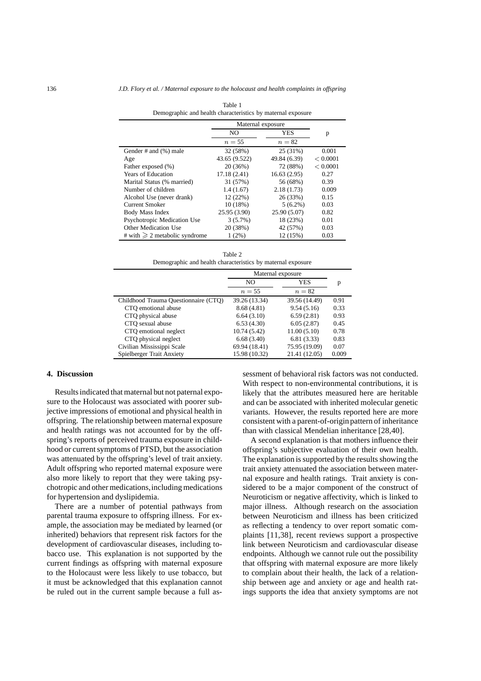|                                         | Maternal exposure |              |          |
|-----------------------------------------|-------------------|--------------|----------|
|                                         | NO                | <b>YES</b>   | p        |
|                                         | $n=55$            | $n=82$       |          |
| Gender # and (%) male                   | 32 (58%)          | 25 (31%)     | 0.001    |
| Age                                     | 43.65 (9.522)     | 49.84 (6.39) | < 0.0001 |
| Father exposed (%)                      | 20 (36%)          | 72 (88%)     | < 0.0001 |
| Years of Education                      | 17.18(2.41)       | 16.63(2.95)  | 0.27     |
| Marital Status (% married)              | 31 (57%)          | 56 (68%)     | 0.39     |
| Number of children                      | 1.4(1.67)         | 2.18(1.73)   | 0.009    |
| Alcohol Use (never drank)               | 12(22%)           | 26 (33%)     | 0.15     |
| Current Smoker                          | 10(18%)           | $5(6.2\%)$   | 0.03     |
| <b>Body Mass Index</b>                  | 25.95 (3.90)      | 25.90 (5.07) | 0.82     |
| Psychotropic Medication Use             | $3(5.7\%)$        | 18 (23%)     | 0.01     |
| Other Medication Use                    | 20 (38%)          | 42 (57%)     | 0.03     |
| # with $\geqslant$ 2 metabolic syndrome | $1(2\%)$          | 12 (15%)     | 0.03     |

Table 1 Demographic and health characteristics by maternal exposure

Table 2 Demographic and health characteristics by maternal exposure

|                                      | Maternal exposure |               |       |
|--------------------------------------|-------------------|---------------|-------|
|                                      | NO.               | YES           | p     |
|                                      | $n=55$            | $n=82$        |       |
| Childhood Trauma Questionnaire (CTQ) | 39.26 (13.34)     | 39.56 (14.49) | 0.91  |
| CTO emotional abuse                  | 8.68 (4.81)       | 9.54(5.16)    | 0.33  |
| CTQ physical abuse                   | 6.64(3.10)        | 6.59(2.81)    | 0.93  |
| CTO sexual abuse                     | 6.53(4.30)        | 6.05(2.87)    | 0.45  |
| CTO emotional neglect                | 10.74 (5.42)      | 11.00(5.10)   | 0.78  |
| CTQ physical neglect                 | 6.68(3.40)        | 6.81(3.33)    | 0.83  |
| Civilian Mississippi Scale           | 69.94 (18.41)     | 75.95 (19.09) | 0.07  |
| Spielberger Trait Anxiety            | 15.98 (10.32)     | 21.41 (12.05) | 0.009 |

#### **4. Discussion**

Results indicated that maternal but not paternal exposure to the Holocaust was associated with poorer subjective impressions of emotional and physical health in offspring. The relationship between maternal exposure and health ratings was not accounted for by the offspring's reports of perceived trauma exposure in childhood or current symptoms of PTSD, but the association was attenuated by the offspring's level of trait anxiety. Adult offspring who reported maternal exposure were also more likely to report that they were taking psychotropic and other medications,including medications for hypertension and dyslipidemia.

There are a number of potential pathways from parental trauma exposure to offspring illness. For example, the association may be mediated by learned (or inherited) behaviors that represent risk factors for the development of cardiovascular diseases, including tobacco use. This explanation is not supported by the current findings as offspring with maternal exposure to the Holocaust were less likely to use tobacco, but it must be acknowledged that this explanation cannot be ruled out in the current sample because a full assessment of behavioral risk factors was not conducted. With respect to non-environmental contributions, it is likely that the attributes measured here are heritable and can be associated with inherited molecular genetic variants. However, the results reported here are more consistent with a parent-of-origin pattern of inheritance than with classical Mendelian inheritance [28,40].

A second explanation is that mothers influence their offspring's subjective evaluation of their own health. The explanation is supported by the results showing the trait anxiety attenuated the association between maternal exposure and health ratings. Trait anxiety is considered to be a major component of the construct of Neuroticism or negative affectivity, which is linked to major illness. Although research on the association between Neuroticism and illness has been criticized as reflecting a tendency to over report somatic complaints [11,38], recent reviews support a prospective link between Neuroticism and cardiovascular disease endpoints. Although we cannot rule out the possibility that offspring with maternal exposure are more likely to complain about their health, the lack of a relationship between age and anxiety or age and health ratings supports the idea that anxiety symptoms are not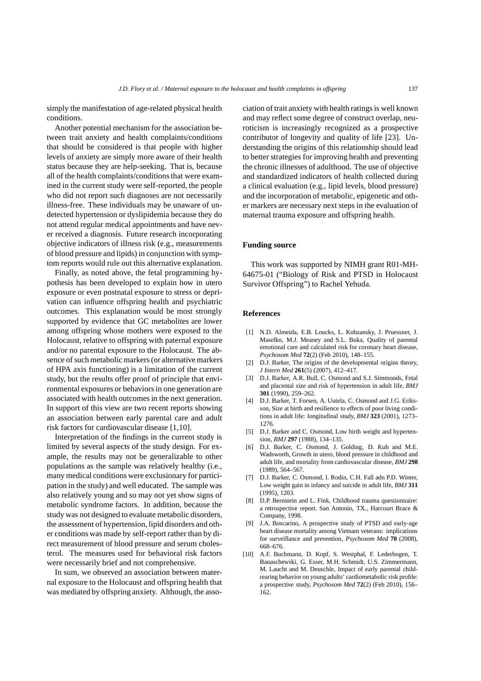simply the manifestation of age-related physical health conditions.

Another potential mechanism for the association between trait anxiety and health complaints/conditions that should be considered is that people with higher levels of anxiety are simply more aware of their health status because they are help-seeking. That is, because all of the health complaints/conditions that were examined in the current study were self-reported, the people who did not report such diagnoses are not necessarily illness-free. These individuals may be unaware of undetected hypertension or dyslipidemia because they do not attend regular medical appointments and have never received a diagnosis. Future research incorporating objective indicators of illness risk (e.g., measurements of blood pressure and lipids) in conjunction with symptom reports would rule out this alternative explanation.

Finally, as noted above, the fetal programming hypothesis has been developed to explain how in utero exposure or even postnatal exposure to stress or deprivation can influence offspring health and psychiatric outcomes. This explanation would be most strongly supported by evidence that GC metabolites are lower among offspring whose mothers were exposed to the Holocaust, relative to offspring with paternal exposure and/or no parental exposure to the Holocaust. The absence of such metabolic markers (or alternative markers of HPA axis functioning) is a limitation of the current study, but the results offer proof of principle that environmental exposures or behaviors in one generation are associated with health outcomes in the next generation. In support of this view are two recent reports showing an association between early parental care and adult risk factors for cardiovascular disease [1,10].

Interpretation of the findings in the current study is limited by several aspects of the study design. For example, the results may not be generalizable to other populations as the sample was relatively healthy (i.e., many medical conditions were exclusionary for participation in the study) and well educated. The sample was also relatively young and so may not yet show signs of metabolic syndrome factors. In addition, because the study was not designed to evaluate metabolic disorders, the assessment of hypertension, lipid disorders and other conditions was made by self-report rather than by direct measurement of blood pressure and serum cholesterol. The measures used for behavioral risk factors were necessarily brief and not comprehensive.

In sum, we observed an association between maternal exposure to the Holocaust and offspring health that was mediated by offspring anxiety. Although, the association of trait anxiety with health ratings is well known and may reflect some degree of construct overlap, neuroticism is increasingly recognized as a prospective contributor of longevity and quality of life [23]. Understanding the origins of this relationship should lead to better strategies for improving health and preventing the chronic illnesses of adulthood. The use of objective and standardized indicators of health collected during a clinical evaluation (e.g., lipid levels, blood pressure) and the incorporation of metabolic, epigenetic and other markers are necessary next steps in the evaluation of maternal trauma exposure and offspring health.

#### **Funding source**

This work was supported by NIMH grant R01-MH-64675-01 ("Biology of Risk and PTSD in Holocaust Survivor Offspring") to Rachel Yehuda.

#### **References**

- [1] N.D. Almeida, E.B. Loucks, L. Kubzansky, J. Pruessner, J. Maselko, M.J. Meaney and S.L. Buka, Quality of parental emotional care and calculated risk for coronary heart disease, *Psychosom Med* **72**(2) (Feb 2010), 148–155.
- [2] D.J. Barker, The origins of the developmental origins theory, *J Intern Med* **261**(5) (2007), 412–417.
- [3] D.J. Barker, A.R. Bull, C. Osmond and S.J. Simmonds, Fetal and placental size and risk of hypertension in adult life, *BMJ* **301** (1990), 259–262.
- [4] D.J. Barker, T. Forsen, A. Uutela, C. Osmond and J.G. Eriksson, Size at birth and resilience to effects of poor living conditions in adult life: longitudinal study, *BMJ* **323** (2001), 1273– 1276.
- [5] D.J. Barker and C. Osmond, Low birth weight and hypertension, *BMJ* **297** (1988), 134–135.
- [6] D.J. Barker, C. Osmond, J. Golding, D. Kuh and M.E. Wadsworth, Growth in utero, blood pressure in childhood and adult life, and mortality from cardiovascular disease, *BMJ* **298** (1989), 564–567.
- [7] D.J. Barker, C. Osmond, I. Rodin, C.H. Fall adn P.D. Winter, Low weight gain in infancy and suicide in adult life, *BMJ* **311** (1995), 1203.
- [8] D.P. Bernstein and L. Fink, Childhood trauma questionnaire: a retrospective report. San Antonio, TX., Harcourt Brace & Company, 1998.
- [9] J.A. Boscarino, A prospective study of PTSD and early-age heart disease mortality among Vietnam veterans: implications for surveillance and prevention, *Psychosom Med* **70** (2008), 668–676.
- [10] A.F. Buchmann, D. Kopf, S. Westphal, F. Lederbogen, T. Banaschewski, G. Esser, M.H. Schmidt, U.S. Zimmermann, M. Laucht and M. Deuschle, Impact of early parental childrearing behavior on young adults' cardiometabolic risk profile: a prospective study, *Psychosom Med* **72**(2) (Feb 2010), 156– 162.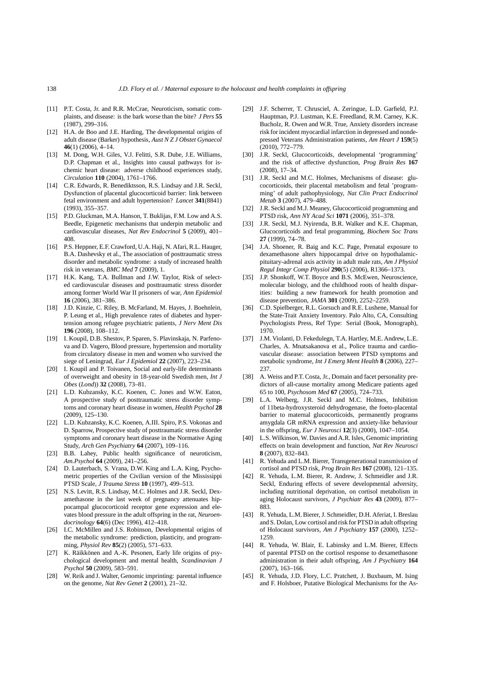- [11] P.T. Costa, Jr. and R.R. McCrae, Neuroticism, somatic complaints, and disease: is the bark worse than the bite? *J Pers* **55** (1987), 299–316.
- [12] H.A. de Boo and J.E. Harding, The developmental origins of adult disease (Barker) hypothesis, *Aust N Z J Obstet Gynaecol* **46**(1) (2006), 4–14.
- [13] M. Dong, W.H. Giles, V.J. Felitti, S.R. Dube, J.E. Williams, D.P. Chapman et al., Insights into causal pathways for ischemic heart disease: adverse childhood experiences study, *Circulation* **110** (2004), 1761–1766.
- [14] C.R. Edwards, R. Benediktsson, R.S. Lindsay and J.R. Seckl, Dysfunction of placental glucocorticoid barrier: link between fetal environment and adult hypertension? *Lancet* **341**(8841) (1993), 355–357.
- [15] P.D. Gluckman, M.A. Hanson, T. Buklijas, F.M. Low and A.S. Beedle, Epigenetic mechanisms that underpin metabolic and cardiovascular diseases, *Nat Rev Endocrinol* **5** (2009), 401– 408.
- [16] P.S. Heppner, E.F. Crawford, U.A. Haji, N. Afari, R.L. Hauger, B.A. Dashevsky et al., The association of posttraumatic stress disorder and metabolic syndrome: a study of increased health risk in veterans, *BMC Med* **7** (2009), 1.
- [17] H.K. Kang, T.A. Bullman and J.W. Taylor, Risk of selected cardiovascular diseases and posttraumatic stress disorder among former World War II prisoners of war, *Ann Epidemiol* **16** (2006), 381–386.
- [18] J.D. Kinzie, C. Riley, B. McFarland, M. Hayes, J. Boehnlein, P. Leung et al., High prevalence rates of diabetes and hypertension among refugee psychiatric patients, *J Nerv Ment Dis* **196** (2008), 108–112.
- [19] I. Koupil, D.B. Shestov, P. Sparen, S. Plavinskaja, N. Parfenova and D. Vagero, Blood pressure, hypertension and mortality from circulatory disease in men and women who survived the siege of Leningrad, *Eur J Epidemiol* **22** (2007), 223–234.
- [20] I. Koupil and P. Toivanen, Social and early-life determinants of overweight and obesity in 18-year-old Swedish men, *Int J Obes* (*Lond*)) **32** (2008), 73–81.
- [21] L.D. Kubzansky, K.C. Koenen, C. Jones and W.W. Eaton, A prospective study of posttraumatic stress disorder symptoms and coronary heart disease in women, *Health Psychol* **28** (2009), 125–130.
- [22] L.D. Kubzansky, K.C. Koenen, A.III. Spiro, P.S. Vokonas and D. Sparrow, Prospective study of posttraumatic stress disorder symptoms and coronary heart disease in the Normative Aging Study, *Arch Gen Psychiatry* **64** (2007), 109–116.
- [23] B.B. Lahey, Public health significance of neuroticism, *Am.Psychol* **64** (2009), 241–256.
- [24] D. Lauterbach, S. Vrana, D.W. King and L.A. King, Psychometric properties of the Civilian version of the Mississippi PTSD Scale, *J Trauma Stress* **10** (1997), 499–513.
- [25] N.S. Levitt, R.S. Lindsay, M.C. Holmes and J.R. Seckl, Dexamethasone in the last week of pregnancy attenuates hippocampal glucocorticoid receptor gene expression and elevates blood pressure in the adult offspring in the rat, *Neuroendocrinology* **64**(6) (Dec 1996), 412–418.
- [26] I.C. McMillen and J.S. Robinson, Developmental origins of the metabolic syndrome: prediction, plasticity, and programming, *Physiol Rev* **85**(2) (2005), 571–633.
- [27] K. Räikkönen and A.-K. Pesonen, Early life origins of psychological development and mental health, *Scandinavian J Psychol* **50** (2009), 583–591.
- [28] W. Reik and J. Walter, Genomic imprinting: parental influence on the genome, *Nat Rev Genet* **2** (2001), 21–32.
- [29] J.F. Scherrer, T. Chrusciel, A. Zeringue, L.D. Garfield, P.J. Hauptman, P.J. Lustman, K.E. Freedland, R.M. Carney, K.K. Bucholz, R. Owen and W.R. True, Anxiety disorders increase risk for incident myocardial infarction in depressed and nondepressed Veterans Administration patients, *Am Heart J* **159**(5) (2010), 772–779.
- [30] J.R. Seckl, Glucocorticoids, developmental 'programming' and the risk of affective dysfunction, *Prog Brain Res* **167** (2008), 17–34.
- [31] J.R. Seckl and M.C. Holmes, Mechanisms of disease: glucocorticoids, their placental metabolism and fetal 'programming' of adult pathophysiology, *Nat Clin Pract Endocrinol Metab* **3** (2007), 479–488.
- [32] J.R. Seckl and M.J. Meaney, Glucocorticoid programming and PTSD risk, *Ann NY Acad Sci* **1071** (2006), 351–378.
- [33] J.R. Seckl, M.J. Nyirenda, B.R. Walker and K.E. Chapman, Glucocorticoids and fetal programming, *Biochem Soc Trans* **27** (1999), 74–78.
- [34] J.A. Shoener, R. Baig and K.C. Page, Prenatal exposure to dexamethasone alters hippocampal drive on hypothalamicpituitary-adrenal axis activity in adult male rats, *Am J Physiol Regul Integr Comp Physiol* **290**(5) (2006), R1366–1373.
- [35] J.P. Shonkoff, W.T. Boyce and B.S. McEwen, Neuroscience, molecular biology, and the childhood roots of health disparities: building a new framework for health promotion and disease prevention, *JAMA* **301** (2009), 2252–2259.
- [36] C.D. Spielberger, R.L. Gorsuch and R.E. Lushene, Manual for the State-Trait Anxiety Inventory. Palo Alto, CA, Consulting Psychologists Press, Ref Type: Serial (Book, Monograph), 1970.
- [37] J.M. Violanti, D. Fekedulegn, T.A. Hartley, M.E. Andrew, L.E. Charles, A. Mnatsakanova et al., Police trauma and cardiovascular disease: association between PTSD symptoms and metabolic syndrome, *Int J Emerg Ment Health* **8** (2006), 227– 237.
- [38] A. Weiss and P.T. Costa, Jr., Domain and facet personality predictors of all-cause mortality among Medicare patients aged 65 to 100, *Psychosom Med* **67** (2005), 724–733.
- [39] L.A. Welberg, J.R. Seckl and M.C. Holmes, Inhibition of 11beta-hydroxysteroid dehydrogenase, the foeto-placental barrier to maternal glucocorticoids, permanently programs amygdala GR mRNA expression and anxiety-like behaviour in the offspring, *Eur J Neurosci* **12**(3) (2000), 1047–1054.
- [40] L.S. Wilkinson, W. Davies and A.R. Isles, Genomic imprinting effects on brain development and function, *Nat Rev Neurosci* **8** (2007), 832–843.
- [41] R. Yehuda and L.M. Bierer, Transgenerational transmission of cortisol and PTSD risk, *Prog Brain Res* **167** (2008), 121–135.
- [42] R. Yehuda, L.M. Bierer, R. Andrew, J. Schmeidler and J.R. Seckl, Enduring effects of severe developmental adversity, including nutritional deprivation, on cortisol metabolism in aging Holocaust survivors, *J Psychiatr Res* **43** (2009), 877– 883.
- [43] R. Yehuda, L.M. Bierer, J. Schmeidler, D.H. Aferiat, I. Breslau and S. Dolan, Low cortisol and risk for PTSD in adult offspring of Holocaust survivors, *Am J Psychiatry* **157** (2000), 1252– 1259.
- [44] R. Yehuda, W. Blair, E. Labinsky and L.M. Bierer, Effects of parental PTSD on the cortisol response to dexamethasone administration in their adult offspring, *Am J Psychiatry* **164** (2007), 163–166.
- [45] R. Yehuda, J.D. Flory, L.C. Pratchett, J. Buxbaum, M. Ising and F. Holsboer, Putative Biological Mechanisms for the As-